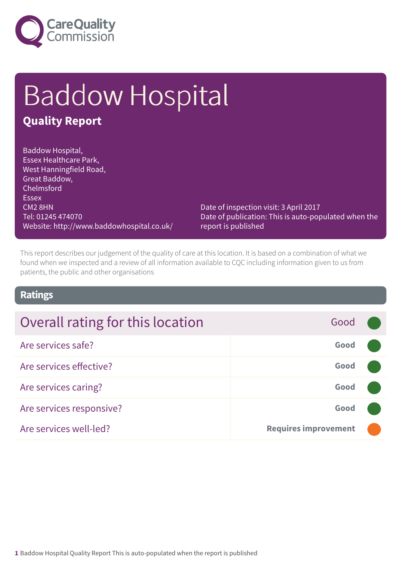

# Baddow Hospital

### **Quality Report**

Baddow Hospital, Essex Healthcare Park, West Hanningfield Road, Great Baddow, Chelmsford **Essex** CM2 8HN Tel: 01245 474070 Website: http://www.baddowhospital.co.uk/

Date of inspection visit: 3 April 2017 Date of publication: This is auto-populated when the report is published

This report describes our judgement of the quality of care at this location. It is based on a combination of what we found when we inspected and a review of all information available to CQC including information given to us from patients, the public and other organisations

### **Ratings**

| Overall rating for this location | Good                        |  |
|----------------------------------|-----------------------------|--|
| Are services safe?               | Good                        |  |
| Are services effective?          | Good                        |  |
| Are services caring?             | Good                        |  |
| Are services responsive?         | Good                        |  |
| Are services well-led?           | <b>Requires improvement</b> |  |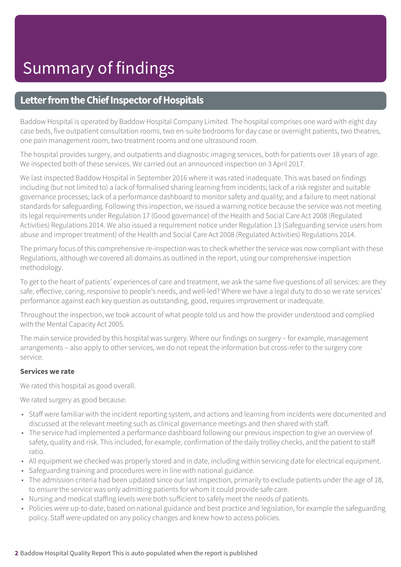### **Letter from the Chief Inspector of Hospitals**

Baddow Hospital is operated by Baddow Hospital Company Limited. The hospital comprises one ward with eight day case beds, five outpatient consultation rooms, two en-suite bedrooms for day case or overnight patients, two theatres, one pain management room, two treatment rooms and one ultrasound room.

The hospital provides surgery, and outpatients and diagnostic imaging services, both for patients over 18 years of age. We inspected both of these services. We carried out an announced inspection on 3 April 2017.

We last inspected Baddow Hospital in September 2016 where it was rated inadequate. This was based on findings including (but not limited to) a lack of formalised sharing learning from incidents; lack of a risk register and suitable governance processes; lack of a performance dashboard to monitor safety and quality; and a failure to meet national standards for safeguarding. Following this inspection, we issued a warning notice because the service was not meeting its legal requirements under Regulation 17 (Good governance) of the Health and Social Care Act 2008 (Regulated Activities) Regulations 2014. We also issued a requirement notice under Regulation 13 (Safeguarding service users from abuse and improper treatment) of the Health and Social Care Act 2008 (Regulated Activities) Regulations 2014.

The primary focus of this comprehensive re-inspection was to check whether the service was now compliant with these Regulations, although we covered all domains as outlined in the report, using our comprehensive inspection methodology.

To get to the heart of patients' experiences of care and treatment, we ask the same five questions of all services: are they safe, effective, caring, responsive to people's needs, and well-led? Where we have a legal duty to do so we rate services' performance against each key question as outstanding, good, requires improvement or inadequate.

Throughout the inspection, we took account of what people told us and how the provider understood and complied with the Mental Capacity Act 2005.

The main service provided by this hospital was surgery. Where our findings on surgery – for example, management arrangements – also apply to other services, we do not repeat the information but cross-refer to the surgery core service.

#### **Services we rate**

We rated this hospital as good overall.

We rated surgery as good because:

- Staff were familiar with the incident reporting system, and actions and learning from incidents were documented and discussed at the relevant meeting such as clinical governance meetings and then shared with staff.
- The service had implemented a performance dashboard following our previous inspection to give an overview of safety, quality and risk. This included, for example, confirmation of the daily trolley checks, and the patient to staff ratio.
- All equipment we checked was properly stored and in date, including within servicing date for electrical equipment.
- Safeguarding training and procedures were in line with national guidance.
- The admission criteria had been updated since our last inspection, primarily to exclude patients under the age of 18, to ensure the service was only admitting patients for whom it could provide safe care.
- Nursing and medical staffing levels were both sufficient to safely meet the needs of patients.
- Policies were up-to-date, based on national guidance and best practice and legislation, for example the safeguarding policy. Staff were updated on any policy changes and knew how to access policies.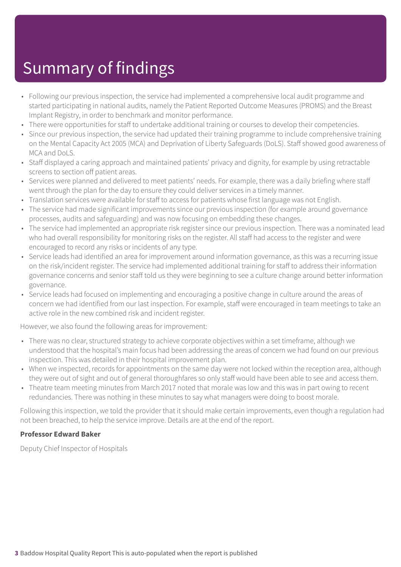- Following our previous inspection, the service had implemented a comprehensive local audit programme and started participating in national audits, namely the Patient Reported Outcome Measures (PROMS) and the Breast Implant Registry, in order to benchmark and monitor performance.
- There were opportunities for staff to undertake additional training or courses to develop their competencies.
- Since our previous inspection, the service had updated their training programme to include comprehensive training on the Mental Capacity Act 2005 (MCA) and Deprivation of Liberty Safeguards (DoLS). Staff showed good awareness of MCA and DoLS.
- Staff displayed a caring approach and maintained patients' privacy and dignity, for example by using retractable screens to section off patient areas.
- Services were planned and delivered to meet patients' needs. For example, there was a daily briefing where staff went through the plan for the day to ensure they could deliver services in a timely manner.
- Translation services were available for staff to access for patients whose first language was not English.
- The service had made significant improvements since our previous inspection (for example around governance processes, audits and safeguarding) and was now focusing on embedding these changes.
- The service had implemented an appropriate risk register since our previous inspection. There was a nominated lead who had overall responsibility for monitoring risks on the register. All staff had access to the register and were encouraged to record any risks or incidents of any type.
- Service leads had identified an area for improvement around information governance, as this was a recurring issue on the risk/incident register. The service had implemented additional training for staff to address their information governance concerns and senior staff told us they were beginning to see a culture change around better information governance.
- Service leads had focused on implementing and encouraging a positive change in culture around the areas of concern we had identified from our last inspection. For example, staff were encouraged in team meetings to take an active role in the new combined risk and incident register.

However, we also found the following areas for improvement:

- There was no clear, structured strategy to achieve corporate objectives within a set timeframe, although we understood that the hospital's main focus had been addressing the areas of concern we had found on our previous inspection. This was detailed in their hospital improvement plan.
- When we inspected, records for appointments on the same day were not locked within the reception area, although they were out of sight and out of general thoroughfares so only staff would have been able to see and access them.
- Theatre team meeting minutes from March 2017 noted that morale was low and this was in part owing to recent redundancies. There was nothing in these minutes to say what managers were doing to boost morale.

Following this inspection, we told the provider that it should make certain improvements, even though a regulation had not been breached, to help the service improve. Details are at the end of the report.

#### **Professor Edward Baker**

Deputy Chief Inspector of Hospitals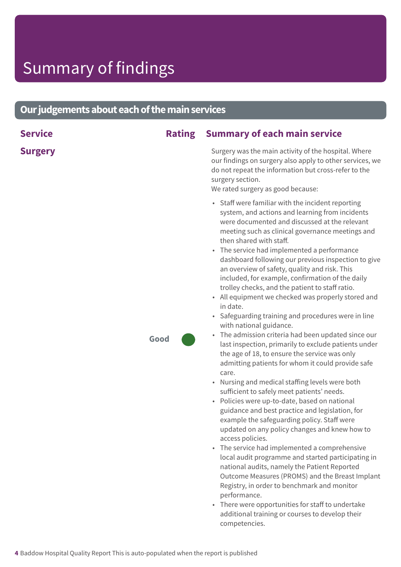### **Ourjudgementsabouteachofthemainservices**

| <b>Service</b> | <b>Rating</b> | <b>Summary of each main service</b>                                                                                                                                                                                                                                                                                                                                                                                                                                                                                                                                                                                                                                                                                                                                                                                                                                                                                                                                                                                                                                                                                                                                                                                                                                                                                                                                                                                                                                                                                                                                                                                                        |
|----------------|---------------|--------------------------------------------------------------------------------------------------------------------------------------------------------------------------------------------------------------------------------------------------------------------------------------------------------------------------------------------------------------------------------------------------------------------------------------------------------------------------------------------------------------------------------------------------------------------------------------------------------------------------------------------------------------------------------------------------------------------------------------------------------------------------------------------------------------------------------------------------------------------------------------------------------------------------------------------------------------------------------------------------------------------------------------------------------------------------------------------------------------------------------------------------------------------------------------------------------------------------------------------------------------------------------------------------------------------------------------------------------------------------------------------------------------------------------------------------------------------------------------------------------------------------------------------------------------------------------------------------------------------------------------------|
| <b>Surgery</b> |               | Surgery was the main activity of the hospital. Where<br>our findings on surgery also apply to other services, we<br>do not repeat the information but cross-refer to the<br>surgery section.<br>We rated surgery as good because:                                                                                                                                                                                                                                                                                                                                                                                                                                                                                                                                                                                                                                                                                                                                                                                                                                                                                                                                                                                                                                                                                                                                                                                                                                                                                                                                                                                                          |
|                | Good          | • Staff were familiar with the incident reporting<br>system, and actions and learning from incidents<br>were documented and discussed at the relevant<br>meeting such as clinical governance meetings and<br>then shared with staff.<br>The service had implemented a performance<br>$\bullet$<br>dashboard following our previous inspection to give<br>an overview of safety, quality and risk. This<br>included, for example, confirmation of the daily<br>trolley checks, and the patient to staff ratio.<br>• All equipment we checked was properly stored and<br>in date.<br>• Safeguarding training and procedures were in line<br>with national guidance.<br>The admission criteria had been updated since our<br>$\bullet$<br>last inspection, primarily to exclude patients under<br>the age of 18, to ensure the service was only<br>admitting patients for whom it could provide safe<br>care.<br>• Nursing and medical staffing levels were both<br>sufficient to safely meet patients' needs.<br>• Policies were up-to-date, based on national<br>guidance and best practice and legislation, for<br>example the safeguarding policy. Staff were<br>updated on any policy changes and knew how to<br>access policies.<br>The service had implemented a comprehensive<br>$\bullet$<br>local audit programme and started participating in<br>national audits, namely the Patient Reported<br>Outcome Measures (PROMS) and the Breast Implant<br>Registry, in order to benchmark and monitor<br>performance.<br>There were opportunities for staff to undertake<br>$\bullet$<br>additional training or courses to develop their |

competencies.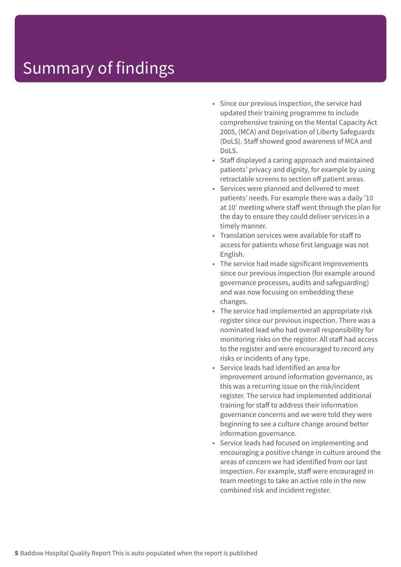- Since our previous inspection, the service had updated their training programme to include comprehensive training on the Mental Capacity Act 2005, (MCA) and Deprivation of Liberty Safeguards (DoLS). Staff showed good awareness of MCA and DoLS.
- Staff displayed a caring approach and maintained patients' privacy and dignity, for example by using retractable screens to section off patient areas.
- Services were planned and delivered to meet patients' needs. For example there was a daily '10 at 10' meeting where staff went through the plan for the day to ensure they could deliver services in a timely manner.
- Translation services were available for staff to access for patients whose first language was not English.
- The service had made significant improvements since our previous inspection (for example around governance processes, audits and safeguarding) and was now focusing on embedding these changes.
- The service had implemented an appropriate risk register since our previous inspection. There was a nominated lead who had overall responsibility for monitoring risks on the register. All staff had access to the register and were encouraged to record any risks or incidents of any type.
- Service leads had identified an area for improvement around information governance, as this was a recurring issue on the risk/incident register. The service had implemented additional training for staff to address their information governance concerns and we were told they were beginning to see a culture change around better information governance.
- Service leads had focused on implementing and encouraging a positive change in culture around the areas of concern we had identified from our last inspection. For example, staff were encouraged in team meetings to take an active role in the new combined risk and incident register.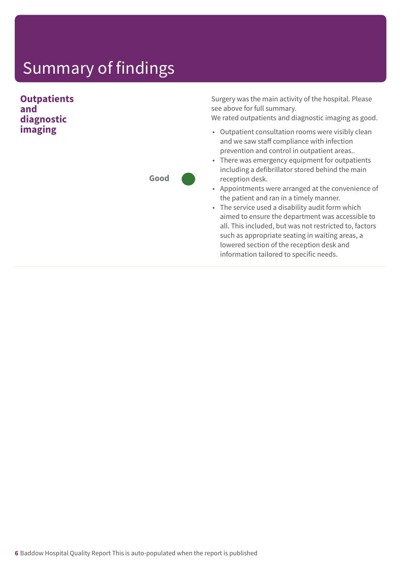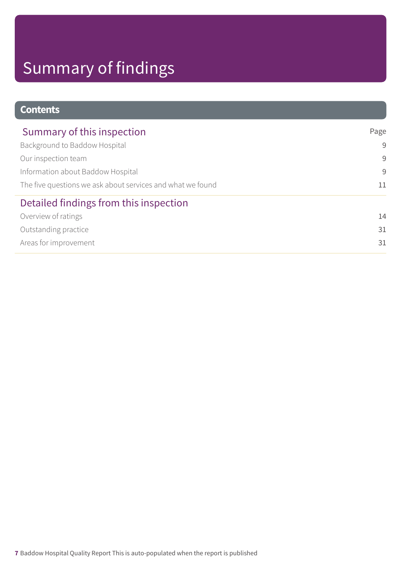| <b>Contents</b>                                            |      |
|------------------------------------------------------------|------|
| Summary of this inspection                                 | Page |
| Background to Baddow Hospital                              | 9    |
| Our inspection team                                        | 9    |
| Information about Baddow Hospital                          | 9    |
| The five questions we ask about services and what we found | 11   |
| Detailed findings from this inspection                     |      |
| Overview of ratings                                        | 14   |
| Outstanding practice                                       | 31   |
| Areas for improvement                                      | 31   |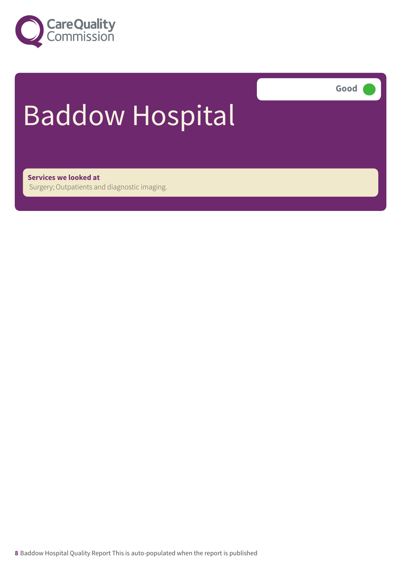

**Good –––**

# Baddow Hospital

**Services we looked at** Surgery; Outpatients and diagnostic imaging.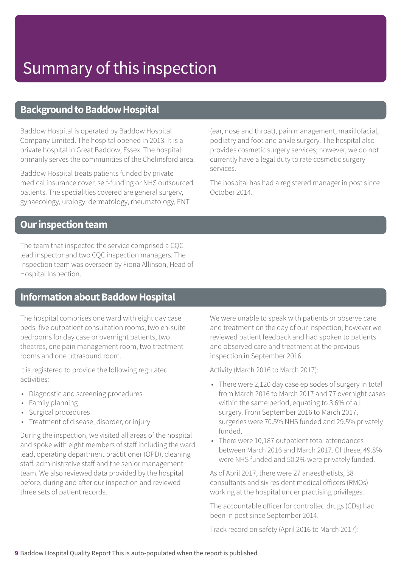### **Background to Baddow Hospital**

Baddow Hospital is operated by Baddow Hospital Company Limited. The hospital opened in 2013. It is a private hospital in Great Baddow, Essex. The hospital primarily serves the communities of the Chelmsford area.

Baddow Hospital treats patients funded by private medical insurance cover, self-funding or NHS outsourced patients. The specialities covered are general surgery, gynaecology, urology, dermatology, rheumatology, ENT

(ear, nose and throat), pain management, maxillofacial, podiatry and foot and ankle surgery. The hospital also provides cosmetic surgery services; however, we do not currently have a legal duty to rate cosmetic surgery services.

The hospital has had a registered manager in post since October 2014.

### **Our inspection team**

The team that inspected the service comprised a CQC lead inspector and two CQC inspection managers. The inspection team was overseen by Fiona Allinson, Head of Hospital Inspection.

### **Information about Baddow Hospital**

The hospital comprises one ward with eight day case beds, five outpatient consultation rooms, two en-suite bedrooms for day case or overnight patients, two theatres, one pain management room, two treatment rooms and one ultrasound room.

It is registered to provide the following regulated activities:

- Diagnostic and screening procedures
- Family planning
- Surgical procedures
- Treatment of disease, disorder, or injury

During the inspection, we visited all areas of the hospital and spoke with eight members of staff including the ward lead, operating department practitioner (OPD), cleaning staff, administrative staff and the senior management team. We also reviewed data provided by the hospital before, during and after our inspection and reviewed three sets of patient records.

We were unable to speak with patients or observe care and treatment on the day of our inspection; however we reviewed patient feedback and had spoken to patients and observed care and treatment at the previous inspection in September 2016.

Activity (March 2016 to March 2017):

- There were 2,120 day case episodes of surgery in total from March 2016 to March 2017 and 77 overnight cases within the same period, equating to 3.6% of all surgery. From September 2016 to March 2017, surgeries were 70.5% NHS funded and 29.5% privately funded.
- There were 10,187 outpatient total attendances between March 2016 and March 2017. Of these, 49.8% were NHS funded and 50.2% were privately funded.

As of April 2017, there were 27 anaesthetists, 38 consultants and six resident medical officers (RMOs) working at the hospital under practising privileges.

The accountable officer for controlled drugs (CDs) had been in post since September 2014.

Track record on safety (April 2016 to March 2017):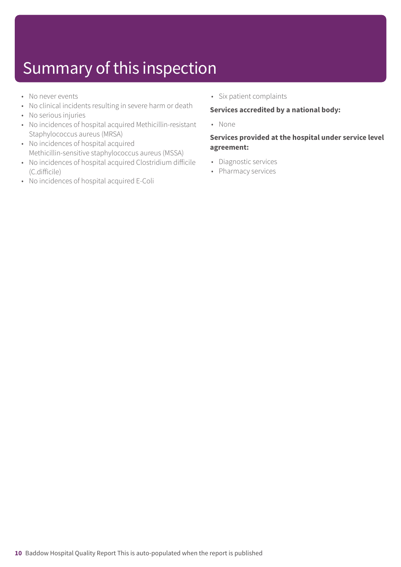- No never events
- No clinical incidents resulting in severe harm or death
- No serious injuries
- No incidences of hospital acquired Methicillin-resistant Staphylococcus aureus (MRSA)
- No incidences of hospital acquired Methicillin-sensitive staphylococcus aureus (MSSA)
- No incidences of hospital acquired Clostridium difficile (C.difficile)
- No incidences of hospital acquired E-Coli

• Six patient complaints

#### **Services accredited by a national body:**

• None

#### **Services provided at the hospital under service level agreement:**

- Diagnostic services
- Pharmacy services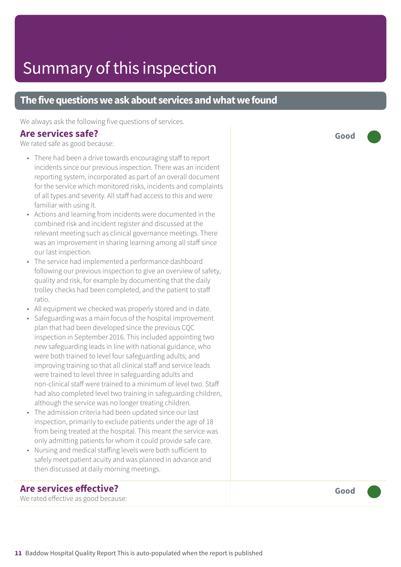### **The five questions we ask about services and what we found**

We always ask the following five questions of services.

#### **Are services safe?**

We rated safe as good because:

- There had been a drive towards encouraging staff to report incidents since our previous inspection. There was an incident reporting system, incorporated as part of an overall document for the service which monitored risks, incidents and complaints of all types and severity. All staff had access to this and were familiar with using it.
- Actions and learning from incidents were documented in the combined risk and incident register and discussed at the relevant meeting such as clinical governance meetings. There was an improvement in sharing learning among all staff since our last inspection.
- The service had implemented a performance dashboard following our previous inspection to give an overview of safety, quality and risk, for example by documenting that the daily trolley checks had been completed, and the patient to staff ratio.
- All equipment we checked was properly stored and in date.
- Safeguarding was a main focus of the hospital improvement plan that had been developed since the previous CQC inspection in September 2016. This included appointing two new safeguarding leads in line with national guidance, who were both trained to level four safeguarding adults; and improving training so that all clinical staff and service leads were trained to level three in safeguarding adults and non-clinical staff were trained to a minimum of level two. Staff had also completed level two training in safeguarding children, although the service was no longer treating children.
- The admission criteria had been updated since our last inspection, primarily to exclude patients under the age of 18 from being treated at the hospital. This meant the service was only admitting patients for whom it could provide safe care.
- Nursing and medical staffing levels were both sufficient to safely meet patient acuity and was planned in advance and then discussed at daily morning meetings.

### **Are services effective?**

We rated effective as good because:

**Good –––**

**Good –––**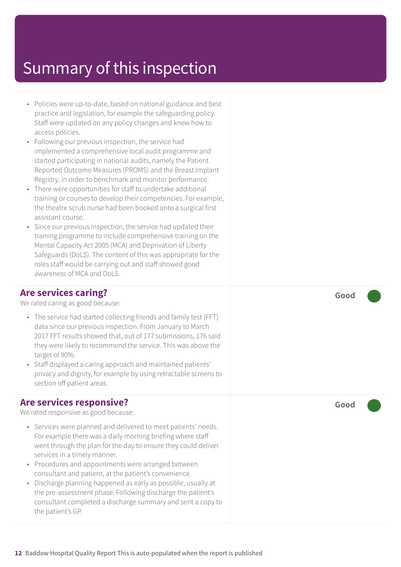- Policies were up-to-date, based on national guidance and best practice and legislation, for example the safeguarding policy. Staff were updated on any policy changes and knew how to access policies.
- Following our previous inspection, the service had implemented a comprehensive local audit programme and started participating in national audits, namely the Patient Reported Outcome Measures (PROMS) and the Breast Implant Registry, in order to benchmark and monitor performance.
- There were opportunities for staff to undertake additional training or courses to develop their competencies. For example, the theatre scrub nurse had been booked onto a surgical first assistant course.
- Since our previous inspection, the service had updated their training programme to include comprehensive training on the Mental Capacity Act 2005 (MCA) and Deprivation of Liberty Safeguards (DoLS). The content of this was appropriate for the roles staff would be carrying out and staff showed good awareness of MCA and DoLS.

### **Are services caring?**

We rated caring as good because:

- The service had started collecting friends and family test (FFT) data since our previous inspection. From January to March 2017 FFT results showed that, out of 177 submissions, 176 said they were likely to recommend the service. This was above the target of 90%.
- Staff displayed a caring approach and maintained patients' privacy and dignity, for example by using retractable screens to section off patient areas.

### **Are services responsive?**

We rated responsive as good because:

- Services were planned and delivered to meet patients' needs. For example there was a daily morning briefing where staff went through the plan for the day to ensure they could deliver services in a timely manner.
- Procedures and appointments were arranged between consultant and patient, at the patient's convenience.
- Discharge planning happened as early as possible, usually at the pre-assessment phase. Following discharge the patient's consultant completed a discharge summary and sent a copy to the patient's GP.

**Good –––**

**Good –––**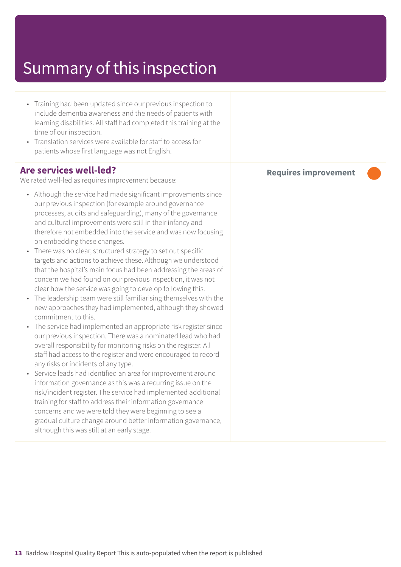- Training had been updated since our previous inspection to include dementia awareness and the needs of patients with learning disabilities. All staff had completed this training at the time of our inspection.
- Translation services were available for staff to access for patients whose first language was not English.

#### **Are services well-led?**

We rated well-led as requires improvement because:

- Although the service had made significant improvements since our previous inspection (for example around governance processes, audits and safeguarding), many of the governance and cultural improvements were still in their infancy and therefore not embedded into the service and was now focusing on embedding these changes.
- There was no clear, structured strategy to set out specific targets and actions to achieve these. Although we understood that the hospital's main focus had been addressing the areas of concern we had found on our previous inspection, it was not clear how the service was going to develop following this.
- The leadership team were still familiarising themselves with the new approaches they had implemented, although they showed commitment to this.
- The service had implemented an appropriate risk register since our previous inspection. There was a nominated lead who had overall responsibility for monitoring risks on the register. All staff had access to the register and were encouraged to record any risks or incidents of any type.
- Service leads had identified an area for improvement around information governance as this was a recurring issue on the risk/incident register. The service had implemented additional training for staff to address their information governance concerns and we were told they were beginning to see a gradual culture change around better information governance, although this was still at an early stage.

**Requires improvement –––**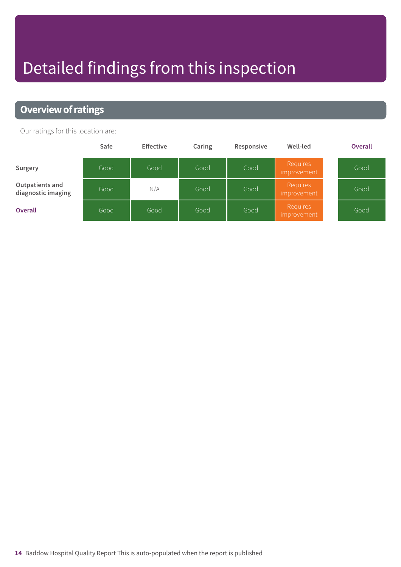## Detailed findings from this inspection

### **Overview of ratings**

Our ratings for this location are:

|                                       | Safe | <b>Effective</b> | Caring | Responsive | Well-led                | <b>Overall</b> |
|---------------------------------------|------|------------------|--------|------------|-------------------------|----------------|
| Surgery                               | Good | Good             | Good   | Good       | Requires<br>improvement | Good           |
| Outpatients and<br>diagnostic imaging | Good | N/A              | Good   | Good       | Requires<br>improvement | Good           |
| <b>Overall</b>                        | Good | Good             | Good   | Good       | Requires<br>improvement | Good           |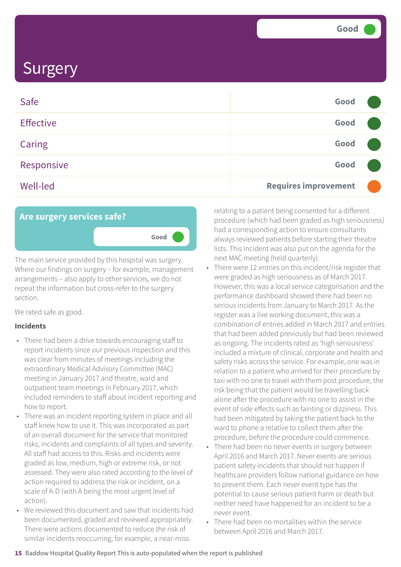| Safe             | Good                        |  |
|------------------|-----------------------------|--|
| <b>Effective</b> | Good                        |  |
| <b>Caring</b>    | Good                        |  |
| Responsive       | Good                        |  |
| <b>Well-led</b>  | <b>Requires improvement</b> |  |



The main service provided by this hospital was surgery. Where our findings on surgery – for example, management arrangements – also apply to other services, we do not repeat the information but cross-refer to the surgery section.

We rated safe as good.

#### **Incidents**

- There had been a drive towards encouraging staff to report incidents since our previous inspection and this was clear from minutes of meetings including the extraordinary Medical Advisory Committee (MAC) meeting in January 2017 and theatre, ward and outpatient team meetings in February 2017, which included reminders to staff about incident reporting and how to report.
- There was an incident reporting system in place and all staff knew how to use it. This was incorporated as part of an overall document for the service that monitored risks, incidents and complaints of all types and severity. All staff had access to this. Risks and incidents were graded as low, medium, high or extreme risk, or not assessed. They were also rated according to the level of action required to address the risk or incident, on a scale of A-D (with A being the most urgent level of action).
- We reviewed this document and saw that incidents had been documented, graded and reviewed appropriately. There were actions documented to reduce the risk of similar incidents reoccurring; for example, a near-miss

relating to a patient being consented for a different procedure (which had been graded as high seriousness) had a corresponding action to ensure consultants always reviewed patients before starting their theatre lists. This incident was also put on the agenda for the next MAC meeting (held quarterly).

- There were 12 entries on this incident/risk register that were graded as high seriousness as of March 2017. However, this was a local service categorisation and the performance dashboard showed there had been no serious incidents from January to March 2017. As the register was a live working document, this was a combination of entries added in March 2017 and entries that had been added previously but had been reviewed as ongoing. The incidents rated as 'high seriousness' included a mixture of clinical, corporate and health and safety risks across the service. For example, one was in relation to a patient who arrived for their procedure by taxi with no one to travel with them post procedure, the risk being that the patient would be travelling back alone after the procedure with no one to assist in the event of side effects such as fainting or dizziness. This had been mitigated by taking the patient back to the ward to phone a relative to collect them after the procedure, before the procedure could commence.
- There had been no never events in surgery between April 2016 and March 2017. Never events are serious patient safety incidents that should not happen if healthcare providers follow national guidance on how to prevent them. Each never event type has the potential to cause serious patient harm or death but neither need have happened for an incident to be a never event.
- There had been no mortalities within the service between April 2016 and March 2017.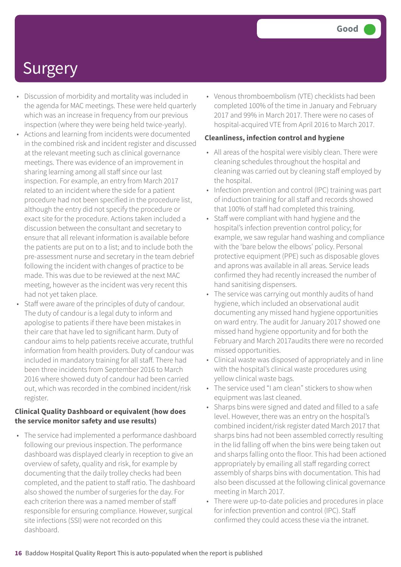- Discussion of morbidity and mortality was included in the agenda for MAC meetings. These were held quarterly which was an increase in frequency from our previous inspection (where they were being held twice-yearly).
- Actions and learning from incidents were documented in the combined risk and incident register and discussed at the relevant meeting such as clinical governance meetings. There was evidence of an improvement in sharing learning among all staff since our last inspection. For example, an entry from March 2017 related to an incident where the side for a patient procedure had not been specified in the procedure list, although the entry did not specify the procedure or exact site for the procedure. Actions taken included a discussion between the consultant and secretary to ensure that all relevant information is available before the patients are put on to a list; and to include both the pre-assessment nurse and secretary in the team debrief following the incident with changes of practice to be made. This was due to be reviewed at the next MAC meeting, however as the incident was very recent this had not yet taken place.
- Staff were aware of the principles of duty of candour. The duty of candour is a legal duty to inform and apologise to patients if there have been mistakes in their care that have led to significant harm. Duty of candour aims to help patients receive accurate, truthful information from health providers. Duty of candour was included in mandatory training for all staff. There had been three incidents from September 2016 to March 2016 where showed duty of candour had been carried out, which was recorded in the combined incident/risk register.

#### **Clinical Quality Dashboard or equivalent (how does the service monitor safety and use results)**

• The service had implemented a performance dashboard following our previous inspection. The performance dashboard was displayed clearly in reception to give an overview of safety, quality and risk, for example by documenting that the daily trolley checks had been completed, and the patient to staff ratio. The dashboard also showed the number of surgeries for the day. For each criterion there was a named member of staff responsible for ensuring compliance. However, surgical site infections (SSI) were not recorded on this dashboard.

• Venous thromboembolism (VTE) checklists had been completed 100% of the time in January and February 2017 and 99% in March 2017. There were no cases of hospital-acquired VTE from April 2016 to March 2017.

#### **Cleanliness, infection control and hygiene**

- All areas of the hospital were visibly clean. There were cleaning schedules throughout the hospital and cleaning was carried out by cleaning staff employed by the hospital.
- Infection prevention and control (IPC) training was part of induction training for all staff and records showed that 100% of staff had completed this training.
- Staff were compliant with hand hygiene and the hospital's infection prevention control policy; for example, we saw regular hand washing and compliance with the 'bare below the elbows' policy. Personal protective equipment (PPE) such as disposable gloves and aprons was available in all areas. Service leads confirmed they had recently increased the number of hand sanitising dispensers.
- The service was carrying out monthly audits of hand hygiene, which included an observational audit documenting any missed hand hygiene opportunities on ward entry. The audit for January 2017 showed one missed hand hygiene opportunity and for both the February and March 2017audits there were no recorded missed opportunities.
- Clinical waste was disposed of appropriately and in line with the hospital's clinical waste procedures using yellow clinical waste bags.
- The service used "I am clean" stickers to show when equipment was last cleaned.
- Sharps bins were signed and dated and filled to a safe level. However, there was an entry on the hospital's combined incident/risk register dated March 2017 that sharps bins had not been assembled correctly resulting in the lid falling off when the bins were being taken out and sharps falling onto the floor. This had been actioned appropriately by emailing all staff regarding correct assembly of sharps bins with documentation. This had also been discussed at the following clinical governance meeting in March 2017.
- There were up-to-date policies and procedures in place for infection prevention and control (IPC). Staff confirmed they could access these via the intranet.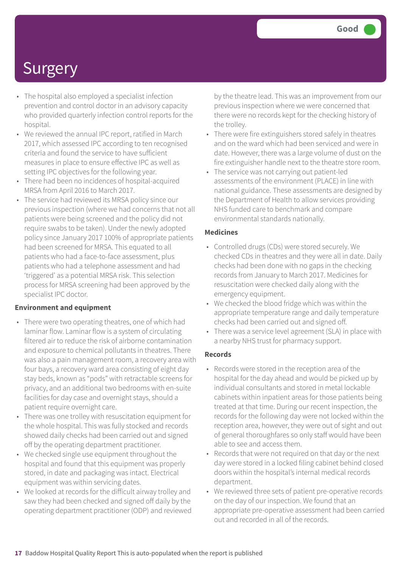- The hospital also employed a specialist infection prevention and control doctor in an advisory capacity who provided quarterly infection control reports for the hospital.
- We reviewed the annual IPC report, ratified in March 2017, which assessed IPC according to ten recognised criteria and found the service to have sufficient measures in place to ensure effective IPC as well as setting IPC objectives for the following year.
- There had been no incidences of hospital-acquired MRSA from April 2016 to March 2017.
- The service had reviewed its MRSA policy since our previous inspection (where we had concerns that not all patients were being screened and the policy did not require swabs to be taken). Under the newly adopted policy since January 2017 100% of appropriate patients had been screened for MRSA. This equated to all patients who had a face-to-face assessment, plus patients who had a telephone assessment and had 'triggered' as a potential MRSA risk. This selection process for MRSA screening had been approved by the specialist IPC doctor.

#### **Environment and equipment**

- There were two operating theatres, one of which had laminar flow. Laminar flow is a system of circulating filtered air to reduce the risk of airborne contamination and exposure to chemical pollutants in theatres. There was also a pain management room, a recovery area with four bays, a recovery ward area consisting of eight day stay beds, known as "pods" with retractable screens for privacy, and an additional two bedrooms with en-suite facilities for day case and overnight stays, should a patient require overnight care.
- There was one trolley with resuscitation equipment for the whole hospital. This was fully stocked and records showed daily checks had been carried out and signed off by the operating department practitioner.
- We checked single use equipment throughout the hospital and found that this equipment was properly stored, in date and packaging was intact. Electrical equipment was within servicing dates.
- We looked at records for the difficult airway trolley and saw they had been checked and signed off daily by the operating department practitioner (ODP) and reviewed

by the theatre lead. This was an improvement from our previous inspection where we were concerned that there were no records kept for the checking history of the trolley.

- There were fire extinguishers stored safely in theatres and on the ward which had been serviced and were in date. However, there was a large volume of dust on the fire extinguisher handle next to the theatre store room.
- The service was not carrying out patient-led assessments of the environment (PLACE) in line with national guidance. These assessments are designed by the Department of Health to allow services providing NHS funded care to benchmark and compare environmental standards nationally.

#### **Medicines**

- Controlled drugs (CDs) were stored securely. We checked CDs in theatres and they were all in date. Daily checks had been done with no gaps in the checking records from January to March 2017. Medicines for resuscitation were checked daily along with the emergency equipment.
- We checked the blood fridge which was within the appropriate temperature range and daily temperature checks had been carried out and signed off.
- There was a service level agreement (SLA) in place with a nearby NHS trust for pharmacy support.

#### **Records**

- Records were stored in the reception area of the hospital for the day ahead and would be picked up by individual consultants and stored in metal lockable cabinets within inpatient areas for those patients being treated at that time. During our recent inspection, the records for the following day were not locked within the reception area, however, they were out of sight and out of general thoroughfares so only staff would have been able to see and access them.
- Records that were not required on that day or the next day were stored in a locked filing cabinet behind closed doors within the hospital's internal medical records department.
- We reviewed three sets of patient pre-operative records on the day of our inspection. We found that an appropriate pre-operative assessment had been carried out and recorded in all of the records.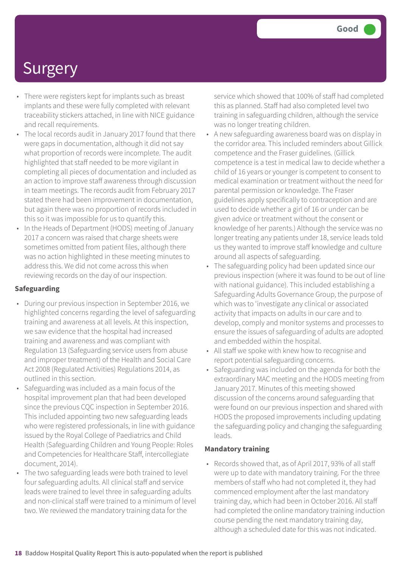- There were registers kept for implants such as breast implants and these were fully completed with relevant traceability stickers attached, in line with NICE guidance and recall requirements.
- The local records audit in January 2017 found that there were gaps in documentation, although it did not say what proportion of records were incomplete. The audit highlighted that staff needed to be more vigilant in completing all pieces of documentation and included as an action to improve staff awareness through discussion in team meetings. The records audit from February 2017 stated there had been improvement in documentation, but again there was no proportion of records included in this so it was impossible for us to quantify this.
- In the Heads of Department (HODS) meeting of January 2017 a concern was raised that charge sheets were sometimes omitted from patient files, although there was no action highlighted in these meeting minutes to address this. We did not come across this when reviewing records on the day of our inspection.

#### **Safeguarding**

- During our previous inspection in September 2016, we highlighted concerns regarding the level of safeguarding training and awareness at all levels. At this inspection, we saw evidence that the hospital had increased training and awareness and was compliant with Regulation 13 (Safeguarding service users from abuse and improper treatment) of the Health and Social Care Act 2008 (Regulated Activities) Regulations 2014, as outlined in this section.
- Safeguarding was included as a main focus of the hospital improvement plan that had been developed since the previous CQC inspection in September 2016. This included appointing two new safeguarding leads who were registered professionals, in line with guidance issued by the Royal College of Paediatrics and Child Health (Safeguarding Children and Young People: Roles and Competencies for Healthcare Staff, intercollegiate document, 2014).
- The two safeguarding leads were both trained to level four safeguarding adults. All clinical staff and service leads were trained to level three in safeguarding adults and non-clinical staff were trained to a minimum of level two. We reviewed the mandatory training data for the

service which showed that 100% of staff had completed this as planned. Staff had also completed level two training in safeguarding children, although the service was no longer treating children.

- A new safeguarding awareness board was on display in the corridor area. This included reminders about Gillick competence and the Fraser guidelines. (Gillick competence is a test in medical law to decide whether a child of 16 years or younger is competent to consent to medical examination or treatment without the need for parental permission or knowledge. The Fraser guidelines apply specifically to contraception and are used to decide whether a girl of 16 or under can be given advice or treatment without the consent or knowledge of her parents.) Although the service was no longer treating any patients under 18, service leads told us they wanted to improve staff knowledge and culture around all aspects of safeguarding.
- The safeguarding policy had been updated since our previous inspection (where it was found to be out of line with national guidance). This included establishing a Safeguarding Adults Governance Group, the purpose of which was to 'investigate any clinical or associated activity that impacts on adults in our care and to develop, comply and monitor systems and processes to ensure the issues of safeguarding of adults are adopted and embedded within the hospital.
- All staff we spoke with knew how to recognise and report potential safeguarding concerns.
- Safeguarding was included on the agenda for both the extraordinary MAC meeting and the HODS meeting from January 2017. Minutes of this meeting showed discussion of the concerns around safeguarding that were found on our previous inspection and shared with HODS the proposed improvements including updating the safeguarding policy and changing the safeguarding leads.

#### **Mandatory training**

• Records showed that, as of April 2017, 93% of all staff were up to date with mandatory training. For the three members of staff who had not completed it, they had commenced employment after the last mandatory training day, which had been in October 2016. All staff had completed the online mandatory training induction course pending the next mandatory training day, although a scheduled date for this was not indicated.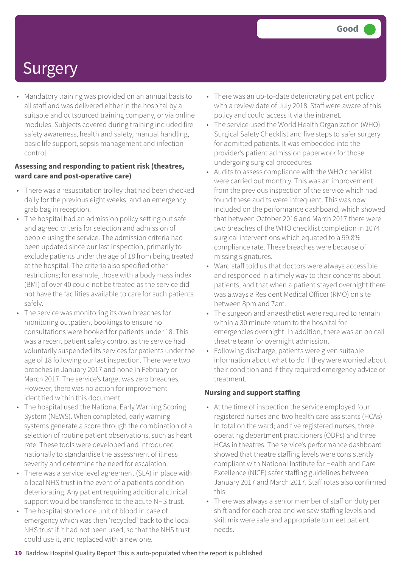• Mandatory training was provided on an annual basis to all staff and was delivered either in the hospital by a suitable and outsourced training company, or via online modules. Subjects covered during training included fire safety awareness, health and safety, manual handling, basic life support, sepsis management and infection control.

#### **Assessing and responding to patient risk (theatres, ward care and post-operative care)**

- There was a resuscitation trolley that had been checked daily for the previous eight weeks, and an emergency grab bag in reception.
- The hospital had an admission policy setting out safe and agreed criteria for selection and admission of people using the service. The admission criteria had been updated since our last inspection, primarily to exclude patients under the age of 18 from being treated at the hospital. The criteria also specified other restrictions; for example, those with a body mass index (BMI) of over 40 could not be treated as the service did not have the facilities available to care for such patients safely.
- The service was monitoring its own breaches for monitoring outpatient bookings to ensure no consultations were booked for patients under 18. This was a recent patient safety control as the service had voluntarily suspended its services for patients under the age of 18 following our last inspection. There were two breaches in January 2017 and none in February or March 2017. The service's target was zero breaches. However, there was no action for improvement identified within this document.
- The hospital used the National Early Warning Scoring System (NEWS). When completed, early warning systems generate a score through the combination of a selection of routine patient observations, such as heart rate. These tools were developed and introduced nationally to standardise the assessment of illness severity and determine the need for escalation.
- There was a service level agreement (SLA) in place with a local NHS trust in the event of a patient's condition deteriorating. Any patient requiring additional clinical support would be transferred to the acute NHS trust.
- The hospital stored one unit of blood in case of emergency which was then 'recycled' back to the local NHS trust if it had not been used, so that the NHS trust could use it, and replaced with a new one.
- There was an up-to-date deteriorating patient policy with a review date of July 2018. Staff were aware of this policy and could access it via the intranet.
- The service used the World Health Organization (WHO) Surgical Safety Checklist and five steps to safer surgery for admitted patients. It was embedded into the provider's patient admission paperwork for those undergoing surgical procedures.
- Audits to assess compliance with the WHO checklist were carried out monthly. This was an improvement from the previous inspection of the service which had found these audits were infrequent. This was now included on the performance dashboard, which showed that between October 2016 and March 2017 there were two breaches of the WHO checklist completion in 1074 surgical interventions which equated to a 99.8% compliance rate. These breaches were because of missing signatures.
- Ward staff told us that doctors were always accessible and responded in a timely way to their concerns about patients, and that when a patient stayed overnight there was always a Resident Medical Officer (RMO) on site between 8pm and 7am.
- The surgeon and anaesthetist were required to remain within a 30 minute return to the hospital for emergencies overnight. In addition, there was an on call theatre team for overnight admission.
- Following discharge, patients were given suitable information about what to do if they were worried about their condition and if they required emergency advice or treatment.

#### **Nursing and support staffing**

- At the time of inspection the service employed four registered nurses and two health care assistants (HCAs) in total on the ward; and five registered nurses, three operating department practitioners (ODPs) and three HCAs in theatres. The service's performance dashboard showed that theatre staffing levels were consistently compliant with National Institute for Health and Care Excellence (NICE) safer staffing guidelines between January 2017 and March 2017. Staff rotas also confirmed this.
- There was always a senior member of staff on duty per shift and for each area and we saw staffing levels and skill mix were safe and appropriate to meet patient needs.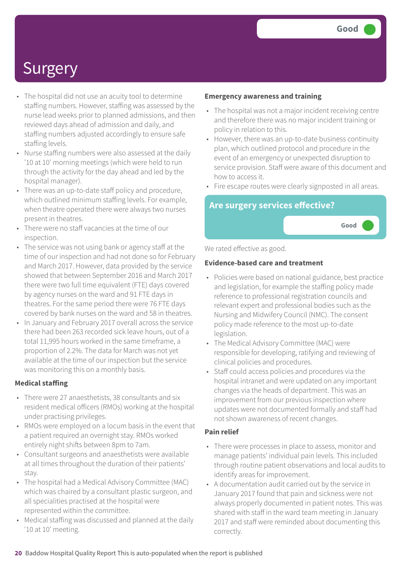**Good –––**

## **Surgery**

- The hospital did not use an acuity tool to determine staffing numbers. However, staffing was assessed by the nurse lead weeks prior to planned admissions, and then reviewed days ahead of admission and daily, and staffing numbers adjusted accordingly to ensure safe staffing levels.
- Nurse staffing numbers were also assessed at the daily '10 at 10' morning meetings (which were held to run through the activity for the day ahead and led by the hospital manager).
- There was an up-to-date staff policy and procedure, which outlined minimum staffing levels. For example, when theatre operated there were always two nurses present in theatres.
- There were no staff vacancies at the time of our inspection.
- The service was not using bank or agency staff at the time of our inspection and had not done so for February and March 2017. However, data provided by the service showed that between September 2016 and March 2017 there were two full time equivalent (FTE) days covered by agency nurses on the ward and 91 FTE days in theatres. For the same period there were 76 FTE days covered by bank nurses on the ward and 58 in theatres.
- In January and February 2017 overall across the service there had been 263 recorded sick leave hours, out of a total 11,995 hours worked in the same timeframe, a proportion of 2.2%. The data for March was not yet available at the time of our inspection but the service was monitoring this on a monthly basis.

#### **Medical staffing**

- There were 27 anaesthetists, 38 consultants and six resident medical officers (RMOs) working at the hospital under practising privileges.
- RMOs were employed on a locum basis in the event that a patient required an overnight stay. RMOs worked entirely night shifts between 8pm to 7am.
- Consultant surgeons and anaesthetists were available at all times throughout the duration of their patients' stay.
- The hospital had a Medical Advisory Committee (MAC) which was chaired by a consultant plastic surgeon, and all specialities practised at the hospital were represented within the committee.
- Medical staffing was discussed and planned at the daily '10 at 10' meeting.

#### **Emergency awareness and training**

- The hospital was not a major incident receiving centre and therefore there was no major incident training or policy in relation to this.
- However, there was an up-to-date business continuity plan, which outlined protocol and procedure in the event of an emergency or unexpected disruption to service provision. Staff were aware of this document and how to access it.
- Fire escape routes were clearly signposted in all areas.

### **Are surgery services effective?**

#### We rated effective as good.

#### **Evidence-based care and treatment**

- Policies were based on national guidance, best practice and legislation, for example the staffing policy made reference to professional registration councils and relevant expert and professional bodies such as the Nursing and Midwifery Council (NMC). The consent policy made reference to the most up-to-date legislation.
- The Medical Advisory Committee (MAC) were responsible for developing, ratifying and reviewing of clinical policies and procedures.
- Staff could access policies and procedures via the hospital intranet and were updated on any important changes via the heads of department. This was an improvement from our previous inspection where updates were not documented formally and staff had not shown awareness of recent changes.

#### **Pain relief**

- There were processes in place to assess, monitor and manage patients' individual pain levels. This included through routine patient observations and local audits to identify areas for improvement.
- A documentation audit carried out by the service in January 2017 found that pain and sickness were not always properly documented in patient notes. This was shared with staff in the ward team meeting in January 2017 and staff were reminded about documenting this correctly.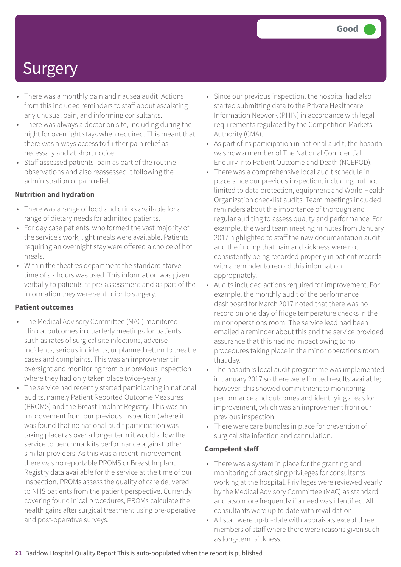- There was a monthly pain and nausea audit. Actions from this included reminders to staff about escalating any unusual pain, and informing consultants.
- There was always a doctor on site, including during the night for overnight stays when required. This meant that there was always access to further pain relief as necessary and at short notice.
- Staff assessed patients' pain as part of the routine observations and also reassessed it following the administration of pain relief.

#### **Nutrition and hydration**

- There was a range of food and drinks available for a range of dietary needs for admitted patients.
- For day case patients, who formed the vast majority of the service's work, light meals were available. Patients requiring an overnight stay were offered a choice of hot meals.
- Within the theatres department the standard starve time of six hours was used. This information was given verbally to patients at pre-assessment and as part of the information they were sent prior to surgery.

#### **Patient outcomes**

- The Medical Advisory Committee (MAC) monitored clinical outcomes in quarterly meetings for patients such as rates of surgical site infections, adverse incidents, serious incidents, unplanned return to theatre cases and complaints. This was an improvement in oversight and monitoring from our previous inspection where they had only taken place twice-yearly.
- The service had recently started participating in national audits, namely Patient Reported Outcome Measures (PROMS) and the Breast Implant Registry. This was an improvement from our previous inspection (where it was found that no national audit participation was taking place) as over a longer term it would allow the service to benchmark its performance against other similar providers. As this was a recent improvement, there was no reportable PROMS or Breast Implant Registry data available for the service at the time of our inspection. PROMs assess the quality of care delivered to NHS patients from the patient perspective. Currently covering four clinical procedures, PROMs calculate the health gains after surgical treatment using pre-operative and post-operative surveys.
- Since our previous inspection, the hospital had also started submitting data to the Private Healthcare Information Network (PHIN) in accordance with legal requirements regulated by the Competition Markets Authority (CMA).
- As part of its participation in national audit, the hospital was now a member of The National Confidential Enquiry into Patient Outcome and Death (NCEPOD).
- There was a comprehensive local audit schedule in place since our previous inspection, including but not limited to data protection, equipment and World Health Organization checklist audits. Team meetings included reminders about the importance of thorough and regular auditing to assess quality and performance. For example, the ward team meeting minutes from January 2017 highlighted to staff the new documentation audit and the finding that pain and sickness were not consistently being recorded properly in patient records with a reminder to record this information appropriately.
- Audits included actions required for improvement. For example, the monthly audit of the performance dashboard for March 2017 noted that there was no record on one day of fridge temperature checks in the minor operations room. The service lead had been emailed a reminder about this and the service provided assurance that this had no impact owing to no procedures taking place in the minor operations room that day.
- The hospital's local audit programme was implemented in January 2017 so there were limited results available; however, this showed commitment to monitoring performance and outcomes and identifying areas for improvement, which was an improvement from our previous inspection.
- There were care bundles in place for prevention of surgical site infection and cannulation.

#### **Competent staff**

- There was a system in place for the granting and monitoring of practising privileges for consultants working at the hospital. Privileges were reviewed yearly by the Medical Advisory Committee (MAC) as standard and also more frequently if a need was identified. All consultants were up to date with revalidation.
- All staff were up-to-date with appraisals except three members of staff where there were reasons given such as long-term sickness.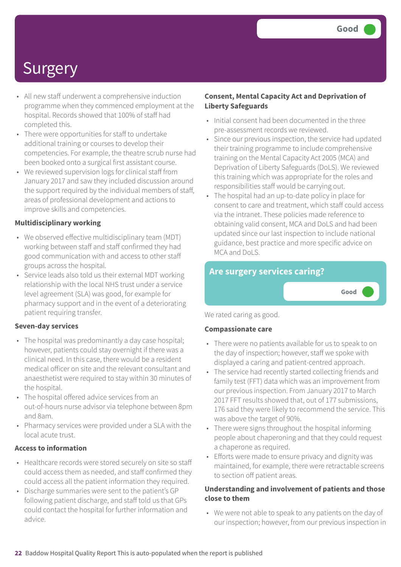**Good –––**

## **Surgery**

- All new staff underwent a comprehensive induction programme when they commenced employment at the hospital. Records showed that 100% of staff had completed this.
- There were opportunities for staff to undertake additional training or courses to develop their competencies. For example, the theatre scrub nurse had been booked onto a surgical first assistant course.
- We reviewed supervision logs for clinical staff from January 2017 and saw they included discussion around the support required by the individual members of staff, areas of professional development and actions to improve skills and competencies.

#### **Multidisciplinary working**

- We observed effective multidisciplinary team (MDT) working between staff and staff confirmed they had good communication with and access to other staff groups across the hospital.
- Service leads also told us their external MDT working relationship with the local NHS trust under a service level agreement (SLA) was good, for example for pharmacy support and in the event of a deteriorating patient requiring transfer.

#### **Seven-day services**

- The hospital was predominantly a day case hospital; however, patients could stay overnight if there was a clinical need. In this case, there would be a resident medical officer on site and the relevant consultant and anaesthetist were required to stay within 30 minutes of the hospital.
- The hospital offered advice services from an out-of-hours nurse advisor via telephone between 8pm and 8am.
- Pharmacy services were provided under a SLA with the local acute trust.

#### **Access to information**

- Healthcare records were stored securely on site so staff could access them as needed, and staff confirmed they could access all the patient information they required.
- Discharge summaries were sent to the patient's GP following patient discharge, and staff told us that GPs could contact the hospital for further information and advice.

#### **Consent, Mental Capacity Act and Deprivation of Liberty Safeguards**

- Initial consent had been documented in the three pre-assessment records we reviewed.
- Since our previous inspection, the service had updated their training programme to include comprehensive training on the Mental Capacity Act 2005 (MCA) and Deprivation of Liberty Safeguards (DoLS). We reviewed this training which was appropriate for the roles and responsibilities staff would be carrying out.
- The hospital had an up-to-date policy in place for consent to care and treatment, which staff could access via the intranet. These policies made reference to obtaining valid consent, MCA and DoLS and had been updated since our last inspection to include national guidance, best practice and more specific advice on MCA and DoLS.

### **Are surgery services caring?**

We rated caring as good.

#### **Compassionate care**

- There were no patients available for us to speak to on the day of inspection; however, staff we spoke with displayed a caring and patient-centred approach.
- The service had recently started collecting friends and family test (FFT) data which was an improvement from our previous inspection. From January 2017 to March 2017 FFT results showed that, out of 177 submissions, 176 said they were likely to recommend the service. This was above the target of 90%.
- There were signs throughout the hospital informing people about chaperoning and that they could request a chaperone as required.
- Efforts were made to ensure privacy and dignity was maintained, for example, there were retractable screens to section off patient areas.

#### **Understanding and involvement of patients and those close to them**

• We were not able to speak to any patients on the day of our inspection; however, from our previous inspection in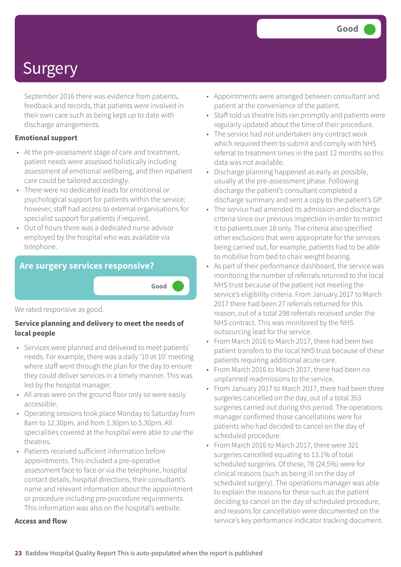September 2016 there was evidence from patients, feedback and records, that patients were involved in their own care such as being kept up to date with discharge arrangements.

#### **Emotional support**

- At the pre-assessment stage of care and treatment, patient needs were assessed holistically including assessment of emotional wellbeing, and then inpatient care could be tailored accordingly.
- There were no dedicated leads for emotional or psychological support for patients within the service; however, staff had access to external organisations for specialist support for patients if required.
- Out of hours there was a dedicated nurse advisor employed by the hospital who was available via telephone.

#### **Are surgery services responsive?**

#### We rated responsive as good.

#### **Service planning and delivery to meet the needs of local people**

**Good –––**

- Services were planned and delivered to meet patients' needs. For example, there was a daily '10 at 10' meeting where staff went through the plan for the day to ensure they could deliver services in a timely manner. This was led by the hospital manager.
- All areas were on the ground floor only so were easily accessible.
- Operating sessions took place Monday to Saturday from 8am to 12.30pm, and from 1.30pm to 5.30pm. All specialities covered at the hospital were able to use the theatres.
- Patients received sufficient information before appointments. This included a pre-operative assessment face to face or via the telephone, hospital contact details, hospital directions, their consultant's name and relevant information about the appointment or procedure including pre-procedure requirements. This information was also on the hospital's website.

#### **Access and flow**

- Appointments were arranged between consultant and patient at the convenience of the patient.
- Staff told us theatre lists ran promptly and patients were regularly updated about the time of their procedure.
- The service had not undertaken any contract work which required them to submit and comply with NHS referral to treatment times in the past 12 months so this data was not available.
- Discharge planning happened as early as possible, usually at the pre-assessment phase. Following discharge the patient's consultant completed a discharge summary and sent a copy to the patient's GP.
- The service had amended its admission and discharge criteria since our previous inspection in order to restrict it to patients over 18 only. The criteria also specified other exclusions that were appropriate for the services being carried out, for example, patients had to be able to mobilise from bed to chair weight bearing.
- As part of their performance dashboard, the service was monitoring the number of referrals returned to the local NHS trust because of the patient not meeting the service's eligibility criteria. From January 2017 to March 2017 there had been 27 referrals returned for this reason, out of a total 298 referrals received under the NHS contract. This was monitored by the NHS outsourcing lead for the service.
- From March 2016 to March 2017, there had been two patient transfers to the local NHS trust because of these patients requiring additional acute care.
- From March 2016 to March 2017, there had been no unplanned readmissions to the service.
- From January 2017 to March 2017, there had been three surgeries cancelled on the day, out of a total 353 surgeries carried out during this period. The operations manager confirmed those cancellations were for patients who had decided to cancel on the day of scheduled procedure.
- From March 2016 to March 2017, there were 321 surgeries cancelled equating to 13.1% of total scheduled surgeries. Of these, 78 (24.5%) were for clinical reasons (such as being ill on the day of scheduled surgery). The operations manager was able to explain the reasons for these such as the patient deciding to cancel on the day of scheduled procedure, and reasons for cancellation were documented on the service's key performance indicator tracking document.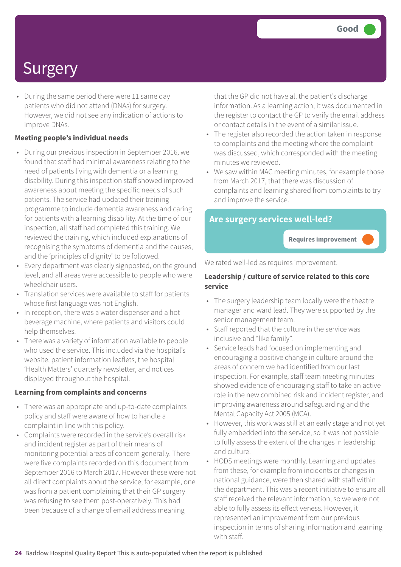• During the same period there were 11 same day patients who did not attend (DNAs) for surgery. However, we did not see any indication of actions to improve DNAs.

#### **Meeting people's individual needs**

- During our previous inspection in September 2016, we found that staff had minimal awareness relating to the need of patients living with dementia or a learning disability. During this inspection staff showed improved awareness about meeting the specific needs of such patients. The service had updated their training programme to include dementia awareness and caring for patients with a learning disability. At the time of our inspection, all staff had completed this training. We reviewed the training, which included explanations of recognising the symptoms of dementia and the causes, and the 'principles of dignity' to be followed.
- Every department was clearly signposted, on the ground level, and all areas were accessible to people who were wheelchair users.
- Translation services were available to staff for patients whose first language was not English.
- In reception, there was a water dispenser and a hot beverage machine, where patients and visitors could help themselves.
- There was a variety of information available to people who used the service. This included via the hospital's website, patient information leaflets, the hospital 'Health Matters' quarterly newsletter, and notices displayed throughout the hospital.

#### **Learning from complaints and concerns**

- There was an appropriate and up-to-date complaints policy and staff were aware of how to handle a complaint in line with this policy.
- Complaints were recorded in the service's overall risk and incident register as part of their means of monitoring potential areas of concern generally. There were five complaints recorded on this document from September 2016 to March 2017. However these were not all direct complaints about the service; for example, one was from a patient complaining that their GP surgery was refusing to see them post-operatively. This had been because of a change of email address meaning

that the GP did not have all the patient's discharge information. As a learning action, it was documented in the register to contact the GP to verify the email address or contact details in the event of a similar issue.

- The register also recorded the action taken in response to complaints and the meeting where the complaint was discussed, which corresponded with the meeting minutes we reviewed.
- We saw within MAC meeting minutes, for example those from March 2017, that there was discussion of complaints and learning shared from complaints to try and improve the service.

#### **Are surgery services well-led?**

**Requires improvement –––**

We rated well-led as requires improvement.

#### **Leadership / culture of service related to this core service**

- The surgery leadership team locally were the theatre manager and ward lead. They were supported by the senior management team.
- Staff reported that the culture in the service was inclusive and "like family".
- Service leads had focused on implementing and encouraging a positive change in culture around the areas of concern we had identified from our last inspection. For example, staff team meeting minutes showed evidence of encouraging staff to take an active role in the new combined risk and incident register, and improving awareness around safeguarding and the Mental Capacity Act 2005 (MCA).
- However, this work was still at an early stage and not yet fully embedded into the service, so it was not possible to fully assess the extent of the changes in leadership and culture.
- HODS meetings were monthly. Learning and updates from these, for example from incidents or changes in national guidance, were then shared with staff within the department. This was a recent initiative to ensure all staff received the relevant information, so we were not able to fully assess its effectiveness. However, it represented an improvement from our previous inspection in terms of sharing information and learning with staff.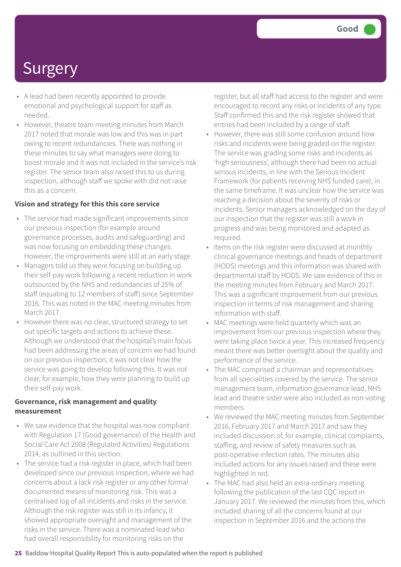- A lead had been recently appointed to provide emotional and psychological support for staff as needed.
- However, theatre team meeting minutes from March 2017 noted that morale was low and this was in part owing to recent redundancies. There was nothing in these minutes to say what managers were doing to boost morale and it was not included in the service's risk register. The senior team also raised this to us during inspection, although staff we spoke with did not raise this as a concern.

#### **Vision and strategy for this this core service**

- The service had made significant improvements since our previous inspection (for example around governance processes, audits and safeguarding) and was now focusing on embedding these changes. However, the improvements were still at an early stage
- Managers told us they were focusing on building up their self-pay work following a recent reduction in work outsourced by the NHS and redundancies of 25% of staff (equating to 12 members of staff) since September 2016. This was noted in the MAC meeting minutes from March 2017.
- However there was no clear, structured strategy to set out specific targets and actions to achieve these. Although we understood that the hospital's main focus had been addressing the areas of concern we had found on our previous inspection, it was not clear how the service was going to develop following this. It was not clear, for example, how they were planning to build up their self-pay work.

#### **Governance, risk management and quality measurement**

- We saw evidence that the hospital was now compliant with Regulation 17 (Good governance) of the Health and Social Care Act 2008 (Regulated Activities) Regulations 2014, as outlined in this section.
- The service had a risk register in place, which had been developed since our previous inspection, where we had concerns about a lack risk register or any other formal documented means of monitoring risk. This was a centralised log of all incidents and risks in the service. Although the risk register was still in its infancy, it showed appropriate oversight and management of the risks in the service. There was a nominated lead who had overall responsibility for monitoring risks on the

register, but all staff had access to the register and were encouraged to record any risks or incidents of any type. Staff confirmed this and the risk register showed that entries had been included by a range of staff.

- However, there was still some confusion around how risks and incidents were being graded on the register. The service was grading some risks and incidents as 'high seriousness', although there had been no actual serious incidents, in line with the Serious Incident Framework (for patients receiving NHS funded care), in the same timeframe. It was unclear how the service was reaching a decision about the severity of risks or incidents. Senior managers acknowledged on the day of our inspection that the register was still a work in progress and was being monitored and adapted as required.
- Items on the risk register were discussed at monthly clinical governance meetings and heads of department (HODS) meetings and this information was shared with departmental staff by HODS. We saw evidence of this in the meeting minutes from February and March 2017. This was a significant improvement from our previous inspection in terms of risk management and sharing information with staff.
- MAC meetings were held quarterly which was an improvement from our previous inspection where they were taking place twice a year. This increased frequency meant there was better oversight about the quality and performance of the service.
- The MAC comprised a chairman and representatives from all specialities covered by the service. The senior management team, information governance lead, NHS lead and theatre sister were also included as non-voting members.
- We reviewed the MAC meeting minutes from September 2016, February 2017 and March 2017 and saw they included discussion of, for example, clinical complaints, staffing, and review of safety measures such as post-operative infection rates. The minutes also included actions for any issues raised and these were highlighted in red.
- The MAC had also held an extra-ordinary meeting following the publication of the last CQC report in January 2017. We reviewed the minutes from this, which included sharing of all the concerns found at our inspection in September 2016 and the actions the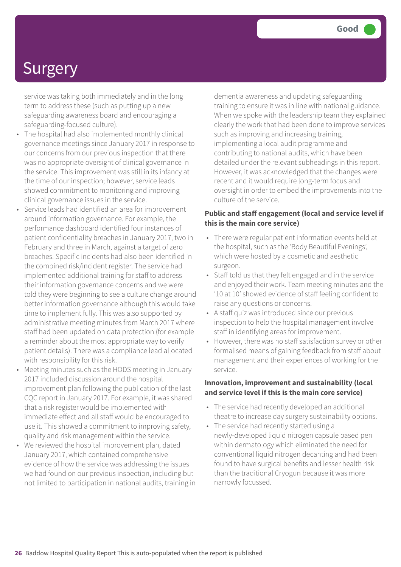service was taking both immediately and in the long term to address these (such as putting up a new safeguarding awareness board and encouraging a safeguarding-focused culture).

- The hospital had also implemented monthly clinical governance meetings since January 2017 in response to our concerns from our previous inspection that there was no appropriate oversight of clinical governance in the service. This improvement was still in its infancy at the time of our inspection; however, service leads showed commitment to monitoring and improving clinical governance issues in the service.
- Service leads had identified an area for improvement around information governance. For example, the performance dashboard identified four instances of patient confidentiality breaches in January 2017, two in February and three in March, against a target of zero breaches. Specific incidents had also been identified in the combined risk/incident register. The service had implemented additional training for staff to address their information governance concerns and we were told they were beginning to see a culture change around better information governance although this would take time to implement fully. This was also supported by administrative meeting minutes from March 2017 where staff had been updated on data protection (for example a reminder about the most appropriate way to verify patient details). There was a compliance lead allocated with responsibility for this risk.
- Meeting minutes such as the HODS meeting in January 2017 included discussion around the hospital improvement plan following the publication of the last CQC report in January 2017. For example, it was shared that a risk register would be implemented with immediate effect and all staff would be encouraged to use it. This showed a commitment to improving safety, quality and risk management within the service.
- We reviewed the hospital improvement plan, dated January 2017, which contained comprehensive evidence of how the service was addressing the issues we had found on our previous inspection, including but not limited to participation in national audits, training in

dementia awareness and updating safeguarding training to ensure it was in line with national guidance. When we spoke with the leadership team they explained clearly the work that had been done to improve services such as improving and increasing training, implementing a local audit programme and contributing to national audits, which have been detailed under the relevant subheadings in this report. However, it was acknowledged that the changes were recent and it would require long-term focus and oversight in order to embed the improvements into the culture of the service.

#### **Public and staff engagement (local and service level if this is the main core service)**

- There were regular patient information events held at the hospital, such as the 'Body Beautiful Evenings', which were hosted by a cosmetic and aesthetic surgeon.
- Staff told us that they felt engaged and in the service and enjoyed their work. Team meeting minutes and the '10 at 10' showed evidence of staff feeling confident to raise any questions or concerns.
- A staff quiz was introduced since our previous inspection to help the hospital management involve staff in identifying areas for improvement.
- However, there was no staff satisfaction survey or other formalised means of gaining feedback from staff about management and their experiences of working for the service.

#### **Innovation, improvement and sustainability (local and service level if this is the main core service)**

- The service had recently developed an additional theatre to increase day surgery sustainability options.
- The service had recently started using a newly-developed liquid nitrogen capsule based pen within dermatology which eliminated the need for conventional liquid nitrogen decanting and had been found to have surgical benefits and lesser health risk than the traditional Cryogun because it was more narrowly focussed.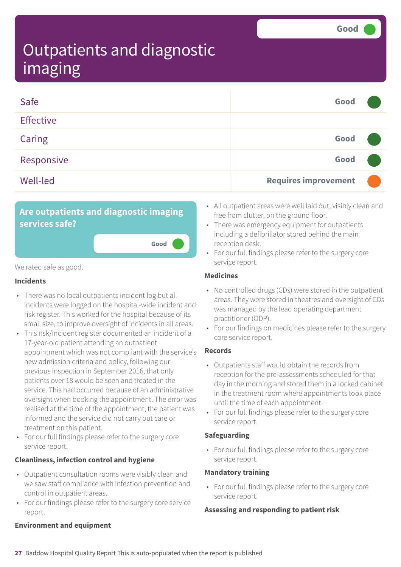| Safe             | Good                        |  |
|------------------|-----------------------------|--|
| <b>Effective</b> |                             |  |
| Caring           | Good                        |  |
| Responsive       | Good                        |  |
| <b>Well-led</b>  | <b>Requires improvement</b> |  |

**Good –––**

### **Are outpatients and diagnostic imaging services safe?**

We rated safe as good.

#### **Incidents**

- There was no local outpatients incident log but all incidents were logged on the hospital-wide incident and risk register. This worked for the hospital because of its small size, to improve oversight of incidents in all areas.
- This risk/incident register documented an incident of a 17-year-old patient attending an outpatient appointment which was not compliant with the service's new admission criteria and policy, following our previous inspection in September 2016, that only patients over 18 would be seen and treated in the service. This had occurred because of an administrative oversight when booking the appointment. The error was realised at the time of the appointment, the patient was informed and the service did not carry out care or treatment on this patient.
- For our full findings please refer to the surgery core service report.

#### **Cleanliness, infection control and hygiene**

- Outpatient consultation rooms were visibly clean and we saw staff compliance with infection prevention and control in outpatient areas.
- For our findings please refer to the surgery core service report.
- All outpatient areas were well laid out, visibly clean and free from clutter, on the ground floor.
- There was emergency equipment for outpatients including a defibrillator stored behind the main reception desk.
- For our full findings please refer to the surgery core service report.

#### **Medicines**

- No controlled drugs (CDs) were stored in the outpatient areas. They were stored in theatres and oversight of CDs was managed by the lead operating department practitioner (ODP).
- For our findings on medicines please refer to the surgery core service report.

#### **Records**

- Outpatients staff would obtain the records from reception for the pre-assessments scheduled for that day in the morning and stored them in a locked cabinet in the treatment room where appointments took place until the time of each appointment.
- For our full findings please refer to the surgery core service report.

#### **Safeguarding**

• For our full findings please refer to the surgery core service report.

#### **Mandatory training**

• For our full findings please refer to the surgery core service report.

#### **Assessing and responding to patient risk**

#### **Environment and equipment**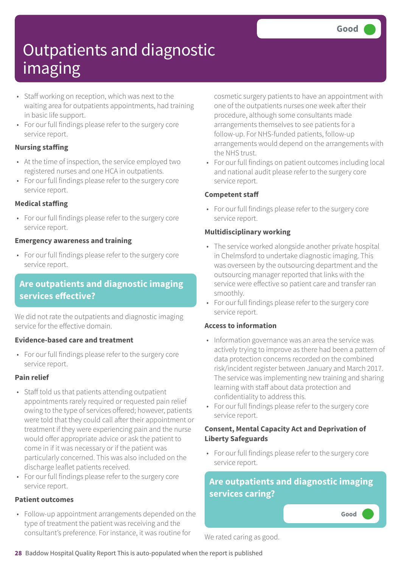- Staff working on reception, which was next to the waiting area for outpatients appointments, had training in basic life support.
- For our full findings please refer to the surgery core service report.

#### **Nursing staffing**

- At the time of inspection, the service employed two registered nurses and one HCA in outpatients.
- For our full findings please refer to the surgery core service report.

#### **Medical staffing**

• For our full findings please refer to the surgery core service report.

#### **Emergency awareness and training**

• For our full findings please refer to the surgery core service report.

### **Are outpatients and diagnostic imaging services effective?**

We did not rate the outpatients and diagnostic imaging service for the effective domain.

#### **Evidence-based care and treatment**

• For our full findings please refer to the surgery core service report.

#### **Pain relief**

- Staff told us that patients attending outpatient appointments rarely required or requested pain relief owing to the type of services offered; however, patients were told that they could call after their appointment or treatment if they were experiencing pain and the nurse would offer appropriate advice or ask the patient to come in if it was necessary or if the patient was particularly concerned. This was also included on the discharge leaflet patients received.
- For our full findings please refer to the surgery core service report.

#### **Patient outcomes**

• Follow-up appointment arrangements depended on the type of treatment the patient was receiving and the consultant's preference. For instance, it was routine for

cosmetic surgery patients to have an appointment with one of the outpatients nurses one week after their procedure, although some consultants made arrangements themselves to see patients for a follow-up. For NHS-funded patients, follow-up arrangements would depend on the arrangements with the NHS trust.

• For our full findings on patient outcomes including local and national audit please refer to the surgery core service report.

#### **Competent staff**

• For our full findings please refer to the surgery core service report.

#### **Multidisciplinary working**

- The service worked alongside another private hospital in Chelmsford to undertake diagnostic imaging. This was overseen by the outsourcing department and the outsourcing manager reported that links with the service were effective so patient care and transfer ran smoothly.
- For our full findings please refer to the surgery core service report.

#### **Access to information**

- Information governance was an area the service was actively trying to improve as there had been a pattern of data protection concerns recorded on the combined risk/incident register between January and March 2017. The service was implementing new training and sharing learning with staff about data protection and confidentiality to address this.
- For our full findings please refer to the surgery core service report.

#### **Consent, Mental Capacity Act and Deprivation of Liberty Safeguards**

• For our full findings please refer to the surgery core service report.

### **Are outpatients and diagnostic imaging services caring?**

**Good –––**

We rated caring as good.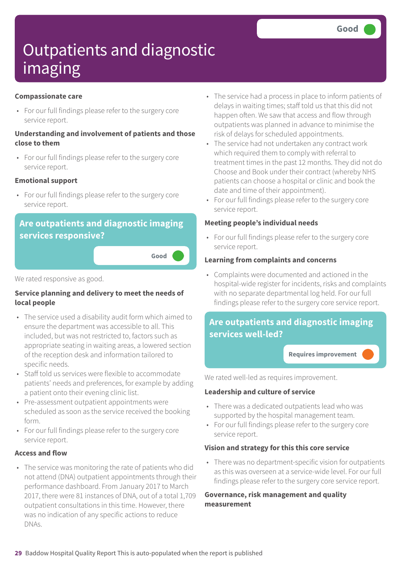#### **Compassionate care**

• For our full findings please refer to the surgery core service report.

#### **Understanding and involvement of patients and those close to them**

• For our full findings please refer to the surgery core service report.

#### **Emotional support**

• For our full findings please refer to the surgery core service report.

### **Are outpatients and diagnostic imaging services responsive?**

**Good –––**

We rated responsive as good.

#### **Service planning and delivery to meet the needs of local people**

- The service used a disability audit form which aimed to ensure the department was accessible to all. This included, but was not restricted to, factors such as appropriate seating in waiting areas, a lowered section of the reception desk and information tailored to specific needs.
- Staff told us services were flexible to accommodate patients' needs and preferences, for example by adding a patient onto their evening clinic list.
- Pre-assessment outpatient appointments were scheduled as soon as the service received the booking form.
- For our full findings please refer to the surgery core service report.

#### **Access and flow**

• The service was monitoring the rate of patients who did not attend (DNA) outpatient appointments through their performance dashboard. From January 2017 to March 2017, there were 81 instances of DNA, out of a total 1,709 outpatient consultations in this time. However, there was no indication of any specific actions to reduce DNAs.

- The service had a process in place to inform patients of delays in waiting times; staff told us that this did not happen often. We saw that access and flow through outpatients was planned in advance to minimise the risk of delays for scheduled appointments.
- The service had not undertaken any contract work which required them to comply with referral to treatment times in the past 12 months. They did not do Choose and Book under their contract (whereby NHS patients can choose a hospital or clinic and book the date and time of their appointment).
- For our full findings please refer to the surgery core service report.

#### **Meeting people's individual needs**

• For our full findings please refer to the surgery core service report.

#### **Learning from complaints and concerns**

• Complaints were documented and actioned in the hospital-wide register for incidents, risks and complaints with no separate departmental log held. For our full findings please refer to the surgery core service report.

### **Are outpatients and diagnostic imaging services well-led?**

**Requires improvement –––**

We rated well-led as requires improvement.

#### **Leadership and culture of service**

- There was a dedicated outpatients lead who was supported by the hospital management team.
- For our full findings please refer to the surgery core service report.

#### **Vision and strategy for this this core service**

• There was no department-specific vision for outpatients as this was overseen at a service-wide level. For our full findings please refer to the surgery core service report.

#### **Governance, risk management and quality measurement**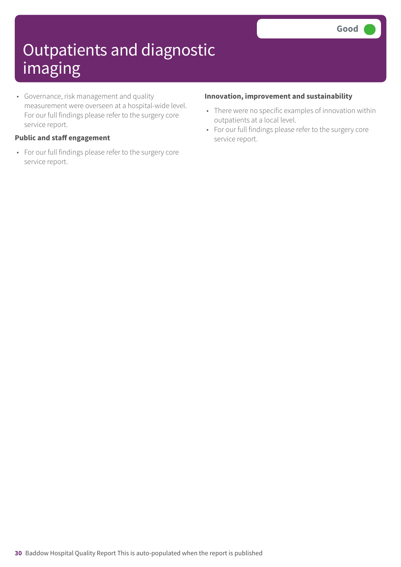• Governance, risk management and quality measurement were overseen at a hospital-wide level. For our full findings please refer to the surgery core service report.

#### **Public and staff engagement**

• For our full findings please refer to the surgery core service report.

#### **Innovation, improvement and sustainability**

- There were no specific examples of innovation within outpatients at a local level.
- For our full findings please refer to the surgery core service report.